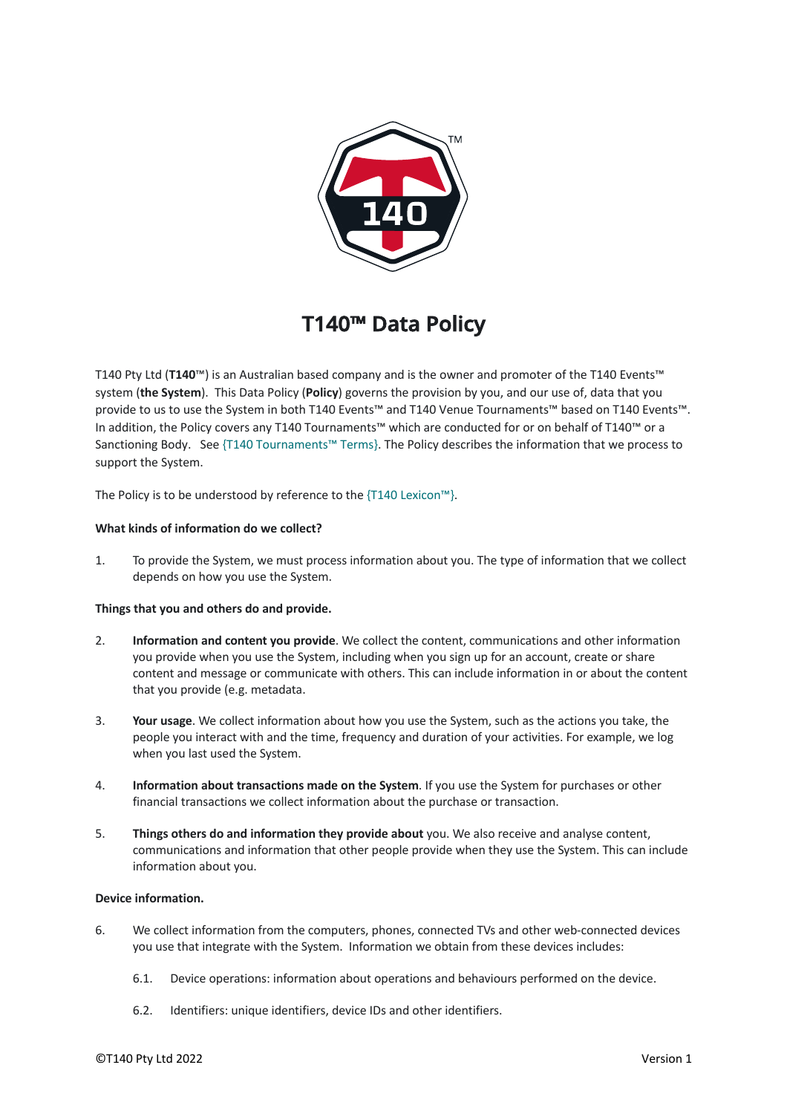

# **T140™ Data Policy**

T140 Pty Ltd (**T140**™) is an Australian based company and is the owner and promoter of the T140 Events™ system (**the System**). This Data Policy (**Policy**) governs the provision by you, and our use of, data that you provide to us to use the System in both T140 Events™ and T140 Venue Tournaments™ based on T140 Events™. In addition, the Policy covers any T140 Tournaments™ which are conducted for or on behalf of T140™ or a Sanctioning Body. See {T140 Tournaments™ Terms}. The Policy describes the information that we process to support the System.

The Policy is to be understood by reference to the {T140 Lexicon™}.

# **What kinds of information do we collect?**

1. To provide the System, we must process information about you. The type of information that we collect depends on how you use the System.

# **Things that you and others do and provide.**

- 2. **Information and content you provide**. We collect the content, communications and other information you provide when you use the System, including when you sign up for an account, create or share content and message or communicate with others. This can include information in or about the content that you provide (e.g. metadata.
- 3. **Your usage**. We collect information about how you use the System, such as the actions you take, the people you interact with and the time, frequency and duration of your activities. For example, we log when you last used the System.
- 4. **Information about transactions made on the System**. If you use the System for purchases or other financial transactions we collect information about the purchase or transaction.
- 5. **Things others do and information they provide about** you. We also receive and analyse content, communications and information that other people provide when they use the System. This can include information about you.

# **Device information.**

- 6. We collect information from the computers, phones, connected TVs and other web-connected devices you use that integrate with the System. Information we obtain from these devices includes:
	- 6.1. Device operations: information about operations and behaviours performed on the device.
	- 6.2. Identifiers: unique identifiers, device IDs and other identifiers.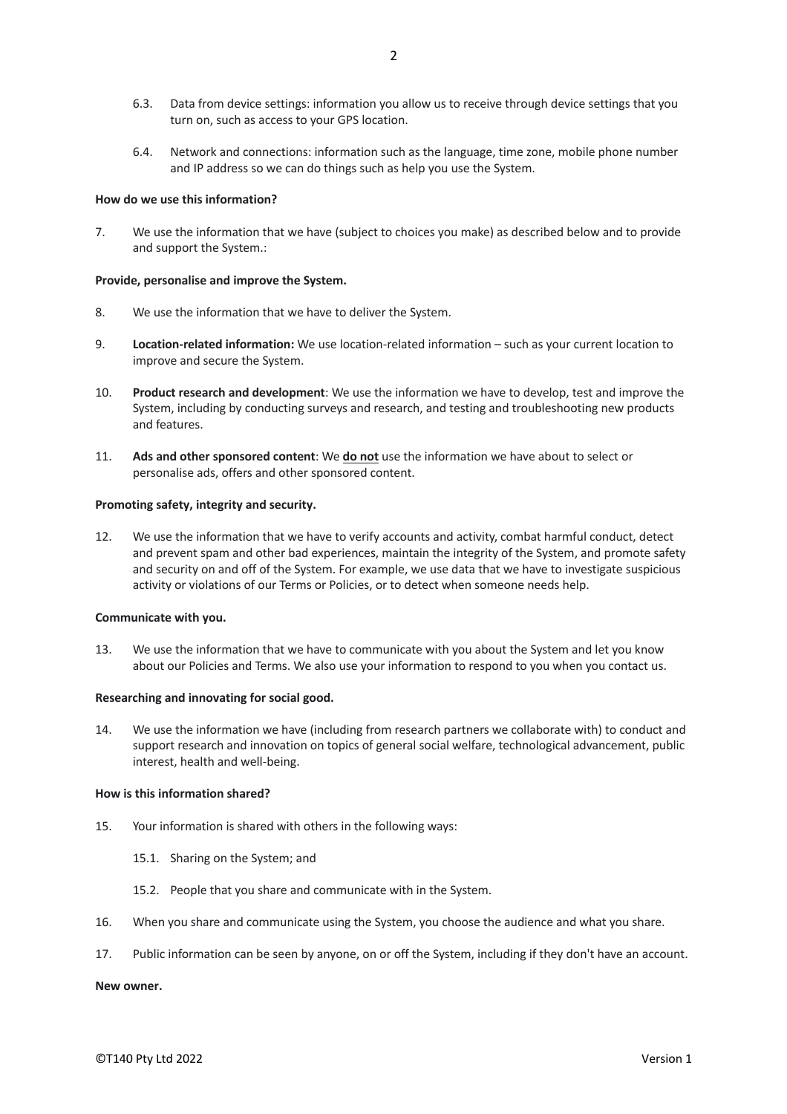- 6.3. Data from device settings: information you allow us to receive through device settings that you turn on, such as access to your GPS location.
- 6.4. Network and connections: information such as the language, time zone, mobile phone number and IP address so we can do things such as help you use the System.

## **How do we use this information?**

7. We use the information that we have (subject to choices you make) as described below and to provide and support the System.:

## **Provide, personalise and improve the System.**

- 8. We use the information that we have to deliver the System.
- 9. **Location-related information:** We use location-related information such as your current location to improve and secure the System.
- 10. **Product research and development**: We use the information we have to develop, test and improve the System, including by conducting surveys and research, and testing and troubleshooting new products and features.
- 11. **Ads and other sponsored content**: We **do not** use the information we have about to select or personalise ads, offers and other sponsored content.

## **Promoting safety, integrity and security.**

12. We use the information that we have to verify accounts and activity, combat harmful conduct, detect and prevent spam and other bad experiences, maintain the integrity of the System, and promote safety and security on and off of the System. For example, we use data that we have to investigate suspicious activity or violations of our Terms or Policies, or to detect when someone needs help.

## **Communicate with you.**

13. We use the information that we have to communicate with you about the System and let you know about our Policies and Terms. We also use your information to respond to you when you contact us.

## **Researching and innovating for social good.**

14. We use the information we have (including from research partners we collaborate with) to conduct and support research and innovation on topics of general social welfare, technological advancement, public interest, health and well-being.

## **How is this information shared?**

- 15. Your information is shared with others in the following ways:
	- 15.1. Sharing on the System; and
	- 15.2. People that you share and communicate with in the System.
- 16. When you share and communicate using the System, you choose the audience and what you share.
- 17. Public information can be seen by anyone, on or off the System, including if they don't have an account.

## **New owner.**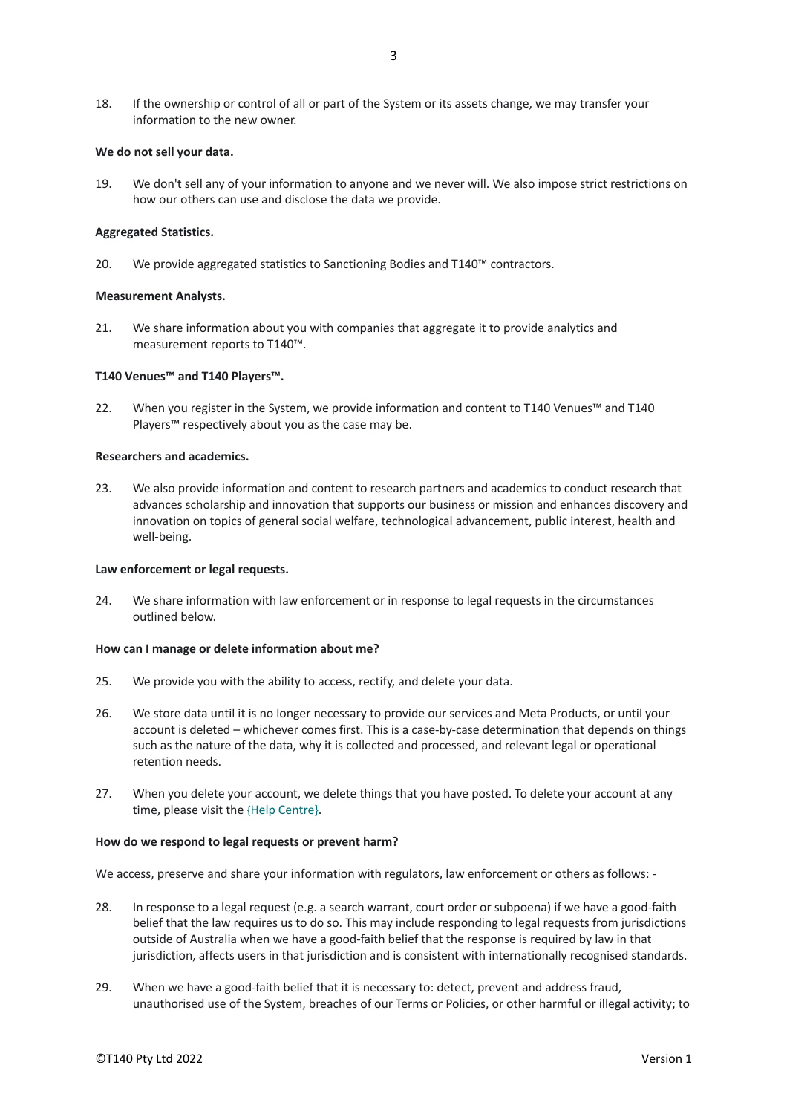18. If the ownership or control of all or part of the System or its assets change, we may transfer your information to the new owner.

## **We do not sell your data.**

19. We don't sell any of your information to anyone and we never will. We also impose strict restrictions on how our others can use and disclose the data we provide.

## **Aggregated Statistics.**

20. We provide aggregated statistics to Sanctioning Bodies and T140™ contractors.

## **Measurement Analysts.**

21. We share information about you with companies that aggregate it to provide analytics and measurement reports to T140™.

## **T140 Venues™ and T140 Players™.**

22. When you register in the System, we provide information and content to T140 Venues™ and T140 Players™ respectively about you as the case may be.

## **Researchers and academics.**

23. We also provide information and content to research partners and academics to conduct research that advances scholarship and innovation that supports our business or mission and enhances discovery and innovation on topics of general social welfare, technological advancement, public interest, health and well-being.

## **Law enforcement or legal requests.**

24. We share information with law enforcement or in response to legal requests in the circumstances outlined below.

## **How can I manage or delete information about me?**

- 25. We provide you with the ability to access, rectify, and delete your data.
- 26. We store data until it is no longer necessary to provide our services and Meta Products, or until your account is deleted – whichever comes first. This is a case-by-case determination that depends on things such as the nature of the data, why it is collected and processed, and relevant legal or operational retention needs.
- 27. When you delete your account, we delete things that you have posted. To delete your account at any time, please visit the {Help Centre}.

## **How do we respond to legal requests or prevent harm?**

We access, preserve and share your information with regulators, law enforcement or others as follows: -

- 28. In response to a legal request (e.g. a search warrant, court order or subpoena) if we have a good-faith belief that the law requires us to do so. This may include responding to legal requests from jurisdictions outside of Australia when we have a good-faith belief that the response is required by law in that jurisdiction, affects users in that jurisdiction and is consistent with internationally recognised standards.
- 29. When we have a good-faith belief that it is necessary to: detect, prevent and address fraud, unauthorised use of the System, breaches of our Terms or Policies, or other harmful or illegal activity; to